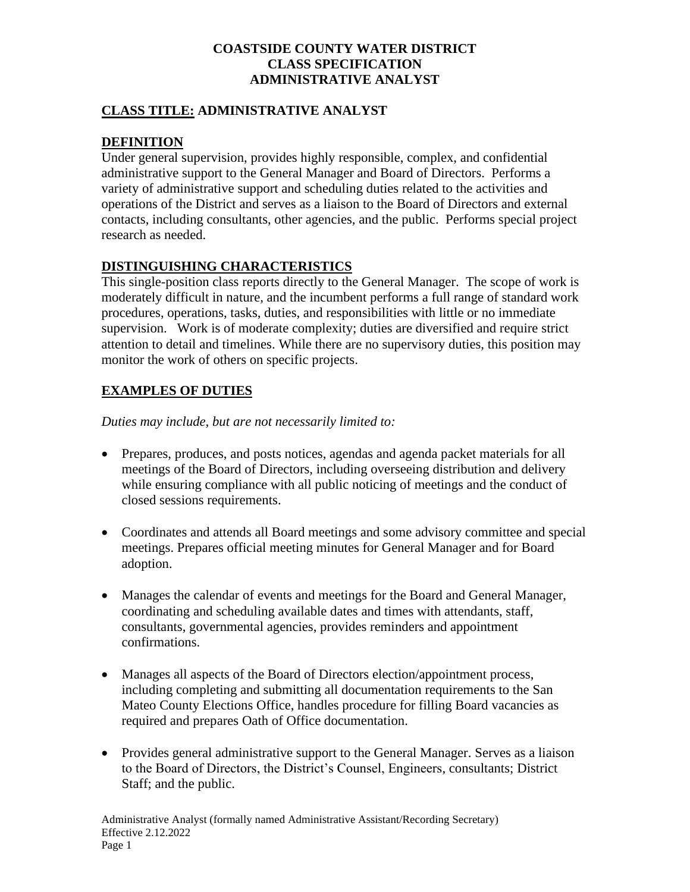### **CLASS TITLE: ADMINISTRATIVE ANALYST**

## **DEFINITION**

Under general supervision, provides highly responsible, complex, and confidential administrative support to the General Manager and Board of Directors. Performs a variety of administrative support and scheduling duties related to the activities and operations of the District and serves as a liaison to the Board of Directors and external contacts, including consultants, other agencies, and the public. Performs special project research as needed.

#### **DISTINGUISHING CHARACTERISTICS**

This single-position class reports directly to the General Manager. The scope of work is moderately difficult in nature, and the incumbent performs a full range of standard work procedures, operations, tasks, duties, and responsibilities with little or no immediate supervision. Work is of moderate complexity; duties are diversified and require strict attention to detail and timelines. While there are no supervisory duties, this position may monitor the work of others on specific projects.

## **EXAMPLES OF DUTIES**

*Duties may include, but are not necessarily limited to:*

- Prepares, produces, and posts notices, agendas and agenda packet materials for all meetings of the Board of Directors, including overseeing distribution and delivery while ensuring compliance with all public noticing of meetings and the conduct of closed sessions requirements.
- Coordinates and attends all Board meetings and some advisory committee and special meetings. Prepares official meeting minutes for General Manager and for Board adoption.
- Manages the calendar of events and meetings for the Board and General Manager, coordinating and scheduling available dates and times with attendants, staff, consultants, governmental agencies, provides reminders and appointment confirmations.
- Manages all aspects of the Board of Directors election/appointment process, including completing and submitting all documentation requirements to the San Mateo County Elections Office, handles procedure for filling Board vacancies as required and prepares Oath of Office documentation.
- Provides general administrative support to the General Manager. Serves as a liaison to the Board of Directors, the District's Counsel, Engineers, consultants; District Staff; and the public.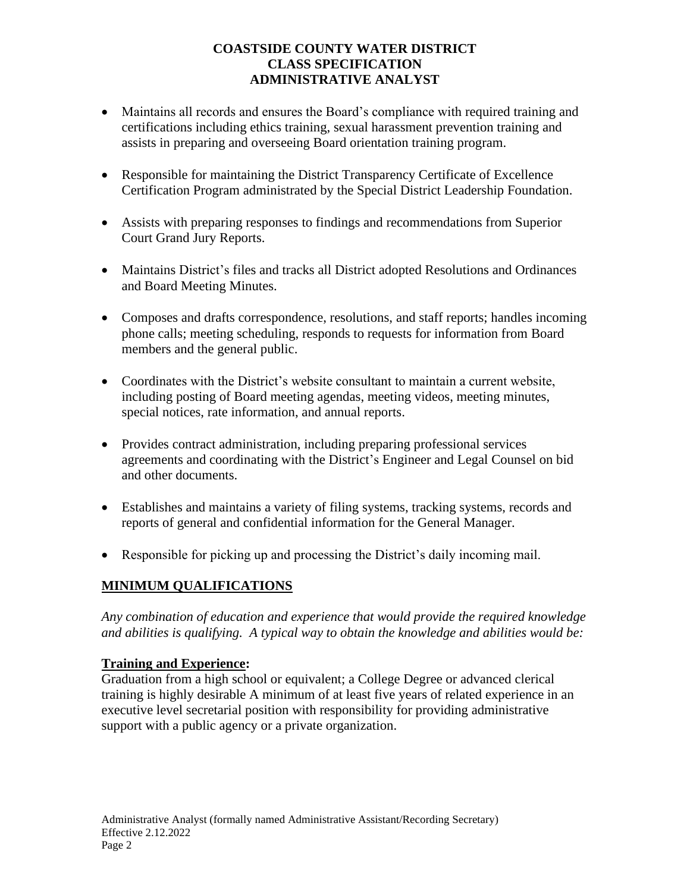- Maintains all records and ensures the Board's compliance with required training and certifications including ethics training, sexual harassment prevention training and assists in preparing and overseeing Board orientation training program.
- Responsible for maintaining the District Transparency Certificate of Excellence Certification Program administrated by the Special District Leadership Foundation.
- Assists with preparing responses to findings and recommendations from Superior Court Grand Jury Reports.
- Maintains District's files and tracks all District adopted Resolutions and Ordinances and Board Meeting Minutes.
- Composes and drafts correspondence, resolutions, and staff reports; handles incoming phone calls; meeting scheduling, responds to requests for information from Board members and the general public.
- Coordinates with the District's website consultant to maintain a current website, including posting of Board meeting agendas, meeting videos, meeting minutes, special notices, rate information, and annual reports.
- Provides contract administration, including preparing professional services agreements and coordinating with the District's Engineer and Legal Counsel on bid and other documents.
- Establishes and maintains a variety of filing systems, tracking systems, records and reports of general and confidential information for the General Manager.
- Responsible for picking up and processing the District's daily incoming mail.

# **MINIMUM QUALIFICATIONS**

*Any combination of education and experience that would provide the required knowledge and abilities is qualifying. A typical way to obtain the knowledge and abilities would be:*

# **Training and Experience:**

Graduation from a high school or equivalent; a College Degree or advanced clerical training is highly desirable A minimum of at least five years of related experience in an executive level secretarial position with responsibility for providing administrative support with a public agency or a private organization.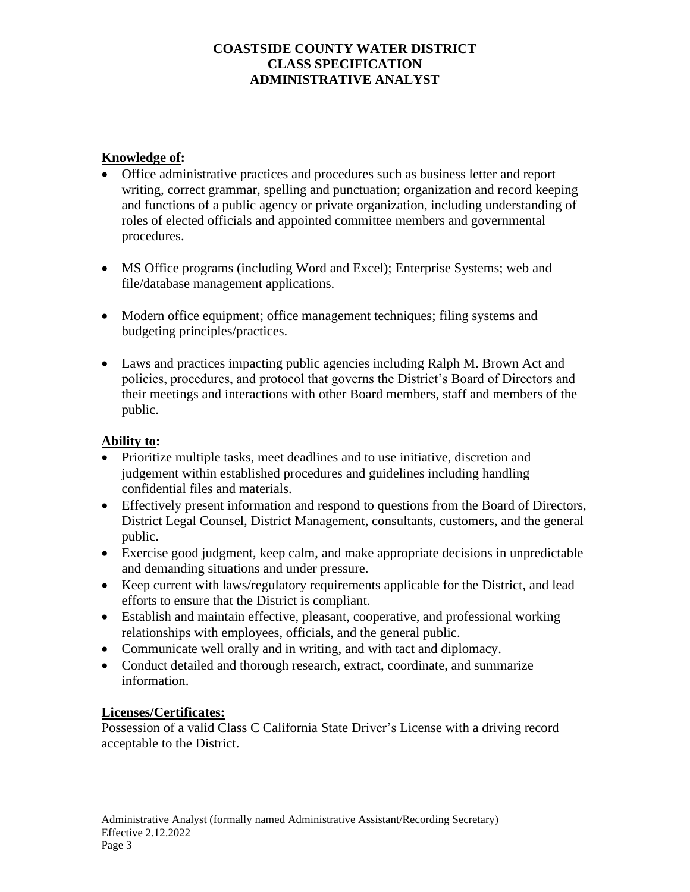### **Knowledge of:**

- Office administrative practices and procedures such as business letter and report writing, correct grammar, spelling and punctuation; organization and record keeping and functions of a public agency or private organization, including understanding of roles of elected officials and appointed committee members and governmental procedures.
- MS Office programs (including Word and Excel); Enterprise Systems; web and file/database management applications.
- Modern office equipment; office management techniques; filing systems and budgeting principles/practices.
- Laws and practices impacting public agencies including Ralph M. Brown Act and policies, procedures, and protocol that governs the District's Board of Directors and their meetings and interactions with other Board members, staff and members of the public.

# **Ability to:**

- Prioritize multiple tasks, meet deadlines and to use initiative, discretion and judgement within established procedures and guidelines including handling confidential files and materials.
- Effectively present information and respond to questions from the Board of Directors, District Legal Counsel, District Management, consultants, customers, and the general public.
- Exercise good judgment, keep calm, and make appropriate decisions in unpredictable and demanding situations and under pressure.
- Keep current with laws/regulatory requirements applicable for the District, and lead efforts to ensure that the District is compliant.
- Establish and maintain effective, pleasant, cooperative, and professional working relationships with employees, officials, and the general public.
- Communicate well orally and in writing, and with tact and diplomacy.
- Conduct detailed and thorough research, extract, coordinate, and summarize information.

#### **Licenses/Certificates:**

Possession of a valid Class C California State Driver's License with a driving record acceptable to the District.